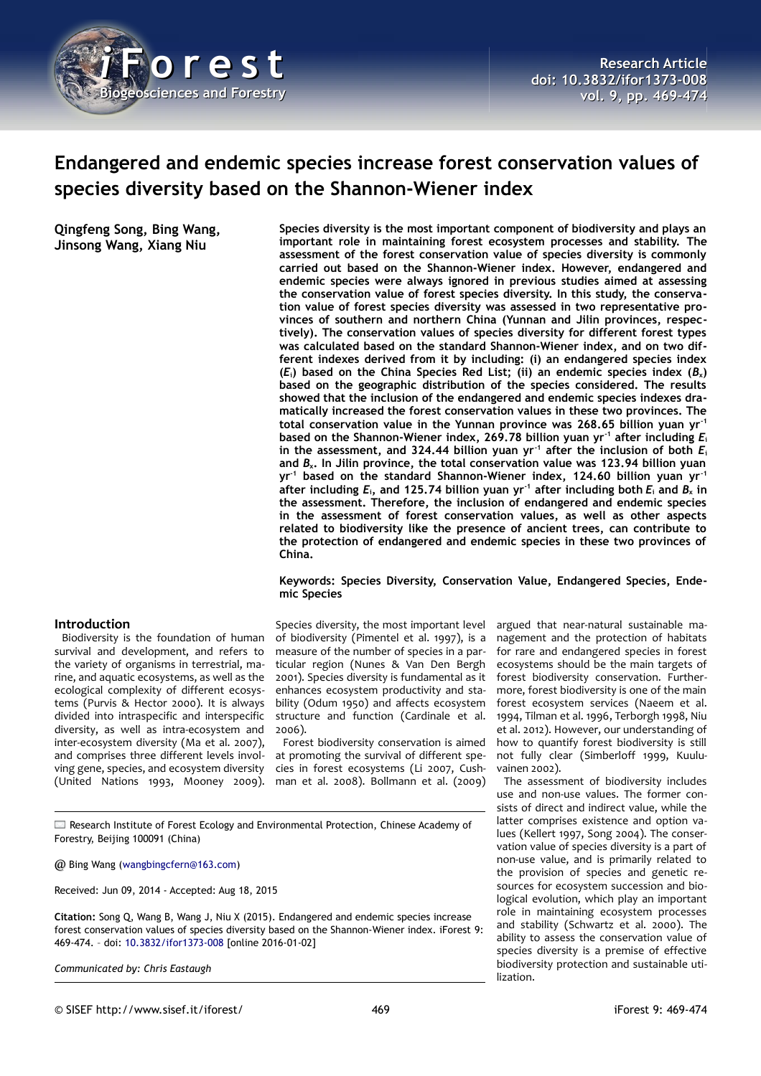

# **Endangered and endemic species increase forest conservation values of species diversity based on the Shannon-Wiener index**

**Qingfeng Song, Bing Wang, Jinsong Wang, Xiang Niu**

**Species diversity is the most important component of biodiversity and plays an important role in maintaining forest ecosystem processes and stability. The assessment of the forest conservation value of species diversity is commonly carried out based on the Shannon-Wiener index. However, endangered and endemic species were always ignored in previous studies aimed at assessing the conservation value of forest species diversity. In this study, the conservation value of forest species diversity was assessed in two representative provinces of southern and northern China (Yunnan and Jilin provinces, respectively). The conservation values of species diversity for different forest types was calculated based on the standard Shannon-Wiener index, and on two different indexes derived from it by including: (i) an endangered species index**  $(E_i)$  based on the China Species Red List; (ii) an endemic species index  $(B_x)$ **based on the geographic distribution of the species considered. The results showed that the inclusion of the endangered and endemic species indexes dramatically increased the forest conservation values in these two provinces. The total conservation value in the Yunnan province was 268.65 billion yuan yr-1 based on the Shannon-Wiener index, 269.78 billion yuan yr-1 after including** *E***<sup>i</sup>** in the assessment, and 324.44 billion yuan yr<sup>-1</sup> after the inclusion of both  $E_i$ **and** *B***x. In Jilin province, the total conservation value was 123.94 billion yuan yr-1 based on the standard Shannon-Wiener index, 124.60 billion yuan yr-1 after including** *E***i, and 125.74 billion yuan yr-1 after including both** *E***i and** *B***x in the assessment. Therefore, the inclusion of endangered and endemic species in the assessment of forest conservation values, as well as other aspects related to biodiversity like the presence of ancient trees, can contribute to the protection of endangered and endemic species in these two provinces of China.**

## **Keywords: Species Diversity, Conservation Value, Endangered Species, Endemic Species**

# **Introduction**

Biodiversity is the foundation of human survival and development, and refers to the variety of organisms in terrestrial, marine, and aquatic ecosystems, as well as the ecological complexity of different ecosystems (Purvis & Hector 2000). It is always divided into intraspecific and interspecific diversity, as well as intra-ecosystem and inter-ecosystem diversity (Ma et al. 2007), and comprises three different levels involving gene, species, and ecosystem diversity (United Nations 1993, Mooney 2009).

Species diversity, the most important level of biodiversity (Pimentel et al. 1997), is a measure of the number of species in a particular region (Nunes & Van Den Bergh 2001). Species diversity is fundamental as it enhances ecosystem productivity and stability (Odum 1950) and affects ecosystem structure and function (Cardinale et al. 2006).

Forest biodiversity conservation is aimed at promoting the survival of different species in forest ecosystems (Li 2007, Cushman et al. 2008). Bollmann et al. (2009)

Research Institute of Forest Ecology and Environmental Protection, Chinese Academy of Forestry, Beijing 100091 (China)

@ Bing Wang [\(wangbingcfern@163.com\)](mailto:wangbingcfern@163.com)

Received: Jun 09, 2014 - Accepted: Aug 18, 2015

**Citation:** Song Q, Wang B, Wang J, Niu X (2015). Endangered and endemic species increase forest conservation values of species diversity based on the Shannon-Wiener index. iForest 9: 469-474. – doi: [10.3832/ifor1373-008](http://www.sisef.it/iforest/contents/?id=ifor1373-008) [online 2016-01-02]

*Communicated by: Chris Eastaugh*

argued that near-natural sustainable management and the protection of habitats for rare and endangered species in forest ecosystems should be the main targets of forest biodiversity conservation. Furthermore, forest biodiversity is one of the main forest ecosystem services (Naeem et al. 1994, Tilman et al. 1996, Terborgh 1998, Niu et al. 2012). However, our understanding of how to quantify forest biodiversity is still not fully clear (Simberloff 1999, Kuuluvainen 2002).

The assessment of biodiversity includes use and non-use values. The former consists of direct and indirect value, while the latter comprises existence and option values (Kellert 1997, Song 2004). The conservation value of species diversity is a part of non-use value, and is primarily related to the provision of species and genetic resources for ecosystem succession and biological evolution, which play an important role in maintaining ecosystem processes and stability (Schwartz et al. 2000). The ability to assess the conservation value of species diversity is a premise of effective biodiversity protection and sustainable utilization.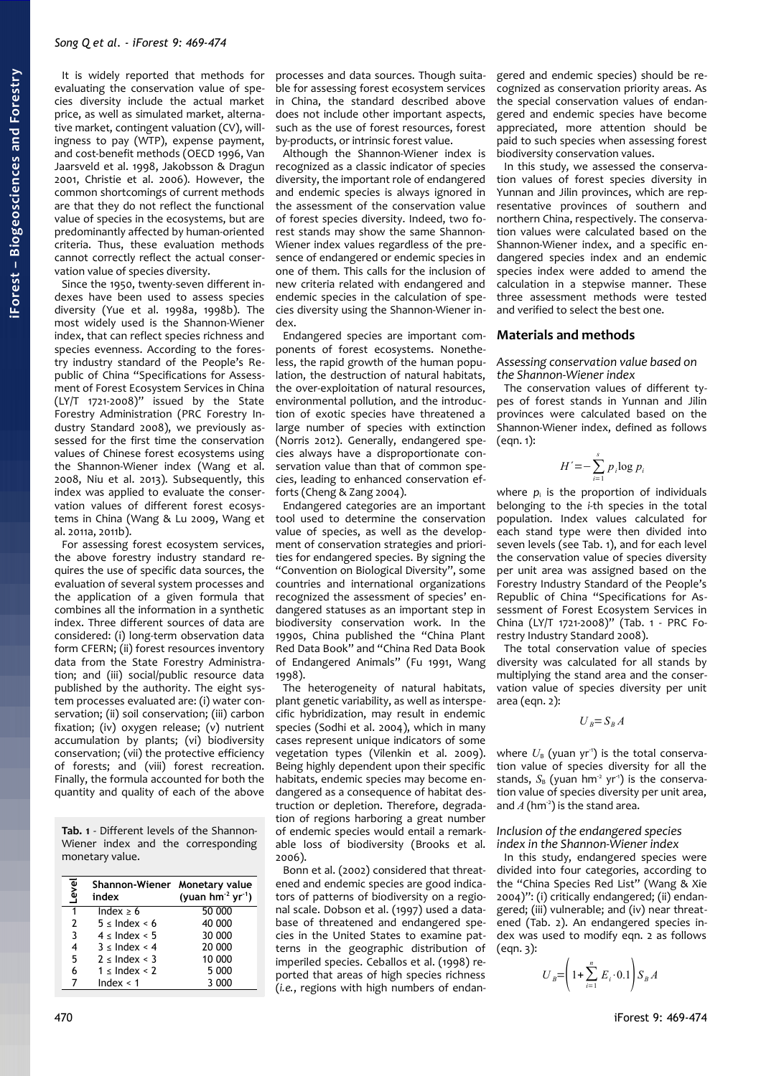It is widely reported that methods for evaluating the conservation value of species diversity include the actual market price, as well as simulated market, alternative market, contingent valuation (CV), willingness to pay (WTP), expense payment, and cost-benefit methods (OECD 1996, Van Jaarsveld et al. 1998, Jakobsson & Dragun 2001, Christie et al. 2006). However, the common shortcomings of current methods are that they do not reflect the functional value of species in the ecosystems, but are predominantly affected by human-oriented criteria. Thus, these evaluation methods cannot correctly reflect the actual conservation value of species diversity.

Since the 1950, twenty-seven different indexes have been used to assess species diversity (Yue et al. 1998a, 1998b). The most widely used is the Shannon-Wiener index, that can reflect species richness and species evenness. According to the forestry industry standard of the People's Republic of China "Specifications for Assessment of Forest Ecosystem Services in China (LY/T 1721-2008)" issued by the State Forestry Administration (PRC Forestry Industry Standard 2008), we previously assessed for the first time the conservation values of Chinese forest ecosystems using the Shannon-Wiener index (Wang et al. 2008, Niu et al. 2013). Subsequently, this index was applied to evaluate the conservation values of different forest ecosystems in China (Wang & Lu 2009, Wang et al. 2011a, 2011b).

For assessing forest ecosystem services, the above forestry industry standard requires the use of specific data sources, the evaluation of several system processes and the application of a given formula that combines all the information in a synthetic index. Three different sources of data are considered: (i) long-term observation data form CFERN; (ii) forest resources inventory data from the State Forestry Administration; and (iii) social/public resource data published by the authority. The eight system processes evaluated are: (i) water conservation; (ii) soil conservation; (iii) carbon fixation; (iv) oxygen release; (v) nutrient accumulation by plants; (vi) biodiversity conservation; (vii) the protective efficiency of forests; and (viii) forest recreation. Finally, the formula accounted for both the quantity and quality of each of the above

<span id="page-1-0"></span>**Tab. 1** - Different levels of the Shannon-Wiener index and the corresponding monetary value.

| Level         | Shannon-Wiener Monetary value<br>index | (yuan $hm^{-2}$ yr <sup>-1</sup> ) |
|---------------|----------------------------------------|------------------------------------|
| 1             | Index $\geq 6$                         | 50 000                             |
| $\mathcal{P}$ | $5 \leq$ Index $\leq 6$                | 40 000                             |
| 3             | $4 \leq$ Index $< 5$                   | 30 000                             |
| 4             | $3 \leq$ Index $\leq 4$                | 20 000                             |
| 5             | $2 \leq$ Index < 3                     | 10 000                             |
| 6             | $1 \leq \text{Index} < 2$              | 5 000                              |
|               | Index < 1                              | 3 000                              |

processes and data sources. Though suitable for assessing forest ecosystem services in China, the standard described above does not include other important aspects, such as the use of forest resources, forest by-products, or intrinsic forest value.

Although the Shannon-Wiener index is recognized as a classic indicator of species diversity, the important role of endangered and endemic species is always ignored in the assessment of the conservation value of forest species diversity. Indeed, two forest stands may show the same Shannon-Wiener index values regardless of the presence of endangered or endemic species in one of them. This calls for the inclusion of new criteria related with endangered and endemic species in the calculation of species diversity using the Shannon-Wiener index.

Endangered species are important components of forest ecosystems. Nonetheless, the rapid growth of the human population, the destruction of natural habitats, the over-exploitation of natural resources, environmental pollution, and the introduction of exotic species have threatened a large number of species with extinction (Norris 2012). Generally, endangered species always have a disproportionate conservation value than that of common species, leading to enhanced conservation efforts (Cheng & Zang 2004).

Endangered categories are an important tool used to determine the conservation value of species, as well as the development of conservation strategies and priorities for endangered species. By signing the "Convention on Biological Diversity", some countries and international organizations recognized the assessment of species' endangered statuses as an important step in biodiversity conservation work. In the 1990s, China published the "China Plant Red Data Book" and "China Red Data Book of Endangered Animals" (Fu 1991, Wang 1998).

The heterogeneity of natural habitats, plant genetic variability, as well as interspecific hybridization, may result in endemic species (Sodhi et al. 2004), which in many cases represent unique indicators of some vegetation types (Vilenkin et al. 2009). Being highly dependent upon their specific habitats, endemic species may become endangered as a consequence of habitat destruction or depletion. Therefore, degradation of regions harboring a great number of endemic species would entail a remarkable loss of biodiversity (Brooks et al. 2006).

Bonn et al. (2002) considered that threatened and endemic species are good indicators of patterns of biodiversity on a regional scale. Dobson et al. (1997) used a database of threatened and endangered species in the United States to examine patterns in the geographic distribution of imperiled species. Ceballos et al. (1998) reported that areas of high species richness (*i.e.*, regions with high numbers of endangered and endemic species) should be recognized as conservation priority areas. As the special conservation values of endangered and endemic species have become appreciated, more attention should be paid to such species when assessing forest biodiversity conservation values.

In this study, we assessed the conservation values of forest species diversity in Yunnan and Jilin provinces, which are representative provinces of southern and northern China, respectively. The conservation values were calculated based on the Shannon-Wiener index, and a specific endangered species index and an endemic species index were added to amend the calculation in a stepwise manner. These three assessment methods were tested and verified to select the best one.

#### **Materials and methods**

*Assessing conservation value based on the Shannon-Wiener index*

The conservation values of different types of forest stands in Yunnan and Jilin provinces were calculated based on the Shannon-Wiener index, defined as follows  $(ean. 1):$ 

$$
H' = -\sum_{i=1}^{s} p_i \log p_i
$$

where  $p_i$  is the proportion of individuals belonging to the *i*-th species in the total population. Index values calculated for each stand type were then divided into seven levels (see [Tab. 1\)](#page-1-0), and for each level the conservation value of species diversity per unit area was assigned based on the Forestry Industry Standard of the People's Republic of China "Specifications for Assessment of Forest Ecosystem Services in China (LY/T 1721-2008)" [\(Tab. 1](#page-1-0) - PRC Forestry Industry Standard 2008).

The total conservation value of species diversity was calculated for all stands by multiplying the stand area and the conservation value of species diversity per unit area (eqn. 2):

$$
U_B = S_B A
$$

where  $U_{\rm B}$  (yuan yr<sup>-1</sup>) is the total conservation value of species diversity for all the stands,  $S_B$  (yuan hm<sup>2</sup> yr<sup>1</sup>) is the conservation value of species diversity per unit area, and  $A$  (hm<sup>2</sup>) is the stand area.

*Inclusion of the endangered species index in the Shannon-Wiener index*

In this study, endangered species were divided into four categories, according to the "China Species Red List" (Wang & Xie 2004)": (i) critically endangered; (ii) endangered; (iii) vulnerable; and (iv) near threatened [\(Tab. 2\)](#page-2-0). An endangered species index was used to modify eqn. 2 as follows (eqn. 3):

$$
U_B = \left(1 + \sum_{i=1}^n E_i \cdot 0.1\right) S_B A
$$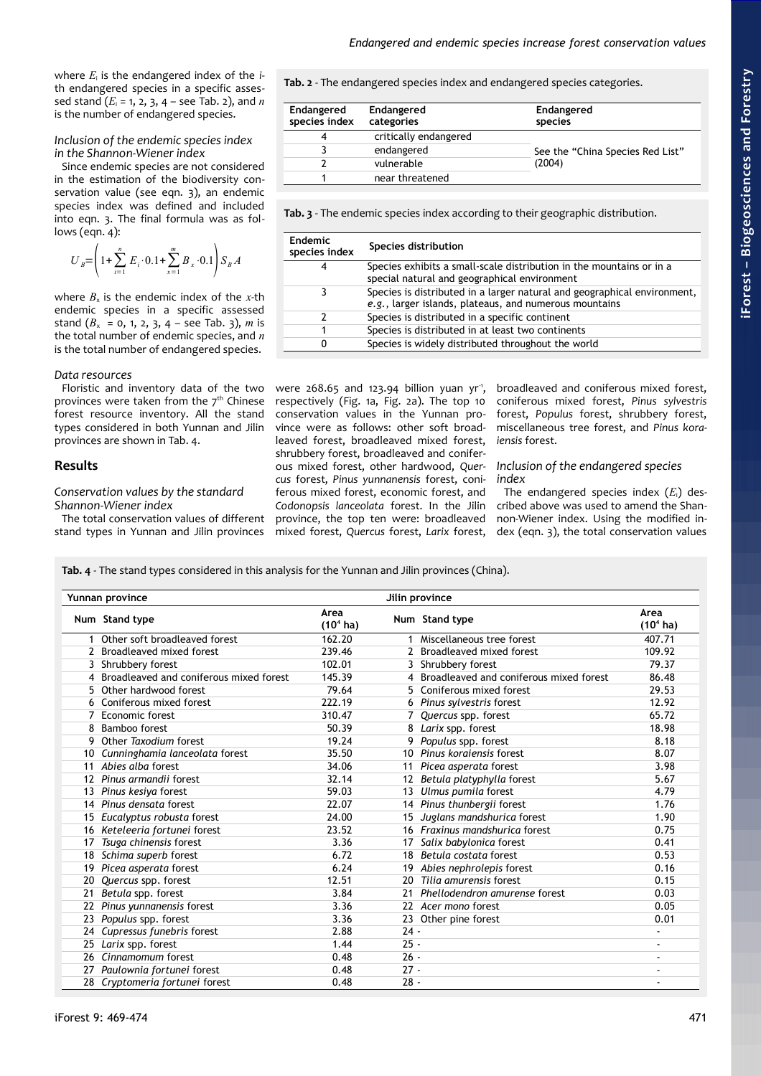where *E*<sup>i</sup> is the endangered index of the *i*th endangered species in a specific assessed stand  $(E_i = 1, 2, 3, 4 - \text{see Tab. 2})$ , and  $n$ is the number of endangered species.

## *Inclusion of the endemic species index in the Shannon-Wiener index*

Since endemic species are not considered in the estimation of the biodiversity conservation value (see eqn. 3), an endemic species index was defined and included into eqn. 3. The final formula was as follows (eqn. 4):

$$
U_B = \left(1 + \sum_{i=1}^n E_i \cdot 0.1 + \sum_{x=1}^m B_x \cdot 0.1\right) S_B A
$$

where  $B_x$  is the endemic index of the *x*-th endemic species in a specific assessed stand  $(B_x = 0, 1, 2, 3, 4 - \text{see Tab. 3}), m$  is the total number of endemic species, and *n* is the total number of endangered species.

#### *Data resources*

Floristic and inventory data of the two provinces were taken from the  $7<sup>th</sup>$  Chinese forest resource inventory. All the stand types considered in both Yunnan and Jilin provinces are shown in [Tab. 4.](#page-2-1)

## **Results**

#### *Conservation values by the standard Shannon-Wiener index*

The total conservation values of different stand types in Yunnan and Jilin provinces

<span id="page-2-0"></span>**Tab. 2** - The endangered species index and endangered species categories.

| <b>Endangered</b><br>species index | <b>Endangered</b><br>categories | <b>Endangered</b><br>species     |  |
|------------------------------------|---------------------------------|----------------------------------|--|
|                                    | critically endangered           |                                  |  |
|                                    | endangered                      | See the "China Species Red List" |  |
|                                    | vulnerable                      | (2004)                           |  |
|                                    | near threatened                 |                                  |  |

<span id="page-2-2"></span>**Tab. 3** - The endemic species index according to their geographic distribution.

| <b>Endemic</b><br>species index | Species distribution                                                                                                               |
|---------------------------------|------------------------------------------------------------------------------------------------------------------------------------|
| 4                               | Species exhibits a small-scale distribution in the mountains or in a<br>special natural and geographical environment               |
| 3                               | Species is distributed in a larger natural and geographical environment,<br>e.g., larger islands, plateaus, and numerous mountains |
| 2                               | Species is distributed in a specific continent                                                                                     |
|                                 | Species is distributed in at least two continents                                                                                  |
| 0                               | Species is widely distributed throughout the world                                                                                 |

were  $268.65$  and  $123.94$  billion yuan yr<sup>1</sup>, respectively [\(Fig. 1a](#page-3-1), [Fig. 2a](#page-3-0)). The top 10 conservation values in the Yunnan province were as follows: other soft broadleaved forest, broadleaved mixed forest, shrubbery forest, broadleaved and coniferous mixed forest, other hardwood, *Quercus* forest, *Pinus yunnanensis* forest, coniferous mixed forest, economic forest, and *Codonopsis lanceolata* forest. In the Jilin province, the top ten were: broadleaved mixed forest, *Quercus* forest, *Larix* forest,

broadleaved and coniferous mixed forest, coniferous mixed forest, *Pinus sylvestris* forest, *Populus* forest, shrubbery forest, miscellaneous tree forest, and *Pinus koraiensis* forest.

*Inclusion of the endangered species index*

The endangered species index (*E*i) described above was used to amend the Shannon-Wiener index. Using the modified index (eqn. 3), the total conservation values

<span id="page-2-1"></span>**Tab. 4** - The stand types considered in this analysis for the Yunnan and Jilin provinces (China).

| Jilin province<br>Yunnan province |                                         |                              |                   |                                           |                              |
|-----------------------------------|-----------------------------------------|------------------------------|-------------------|-------------------------------------------|------------------------------|
|                                   | Num Stand type                          | Area<br>(10 <sup>4</sup> ha) |                   | Num Stand type                            | Area<br>$(104$ ha)           |
|                                   | Other soft broadleaved forest           | 162.20                       |                   | Miscellaneous tree forest                 | 407.71                       |
|                                   | Broadleaved mixed forest                | 239.46                       |                   | 2 Broadleaved mixed forest                | 109.92                       |
| 3                                 | Shrubbery forest                        | 102.01                       |                   | 3 Shrubbery forest                        | 79.37                        |
| 4                                 | Broadleaved and coniferous mixed forest | 145.39                       |                   | 4 Broadleaved and coniferous mixed forest | 86.48                        |
| 5                                 | Other hardwood forest                   | 79.64                        |                   | 5 Coniferous mixed forest                 | 29.53                        |
| 6                                 | Coniferous mixed forest                 | 222.19                       |                   | 6 Pinus sylvestris forest                 | 12.92                        |
|                                   | Economic forest                         | 310.47                       |                   | Quercus spp. forest                       | 65.72                        |
| 8                                 | Bamboo forest                           | 50.39                        | 8                 | Larix spp. forest                         | 18.98                        |
| 9                                 | Other Taxodium forest                   | 19.24                        | 9                 | Populus spp. forest                       | 8.18                         |
| 10                                | Cunninghamia lanceolata forest          | 35.50                        |                   | 10 Pinus korgiensis forest                | 8.07                         |
| 11                                | Abies alba forest                       | 34.06                        | 11                | Picea asperata forest                     | 3.98                         |
| 12                                | Pinus armandii forest                   | 32.14                        | $12 \overline{ }$ | Betula platyphylla forest                 | 5.67                         |
| 13                                | Pinus kesiya forest                     | 59.03                        | 13                | Ulmus pumila forest                       | 4.79                         |
| 14                                | Pinus densata forest                    | 22.07                        |                   | 14 Pinus thunbergii forest                | 1.76                         |
| 15                                | Eucalyptus robusta forest               | 24.00                        | 15                | Juglans mandshurica forest                | 1.90                         |
| 16                                | Keteleeria fortunei forest              | 23.52                        |                   | 16 Fraxinus mandshurica forest            | 0.75                         |
| 17                                | Tsuga chinensis forest                  | 3.36                         | 17                | Salix babylonica forest                   | 0.41                         |
| 18                                | Schima superb forest                    | 6.72                         | 18                | Betula costata forest                     | 0.53                         |
| 19                                | Picea asperata forest                   | 6.24                         |                   | Abies nephrolepis forest                  | 0.16                         |
| 20                                | Quercus spp. forest                     | 12.51                        | 20                | Tilia amurensis forest                    | 0.15                         |
| 21                                | Betula spp. forest                      | 3.84                         | 21                | Phellodendron amurense forest             | 0.03                         |
| 22                                | Pinus yunnanensis forest                | 3.36                         |                   | 22 Acer mono forest                       | 0.05                         |
| 23                                | Populus spp. forest                     | 3.36                         |                   | 23 Other pine forest                      | 0.01                         |
| 24                                | Cupressus funebris forest               | 2.88                         | $24 -$            |                                           | ٠                            |
| 25                                | Larix spp. forest                       | 1.44                         | $25 -$            |                                           | $\qquad \qquad \blacksquare$ |
| 26                                | Cinnamomum forest                       | 0.48                         | $26 -$            |                                           |                              |
| 27                                | Paulownia fortunei forest               | 0.48                         | $27 -$            |                                           | $\blacksquare$               |
|                                   | 28 Cryptomeria fortunei forest          | 0.48                         | $28 -$            |                                           |                              |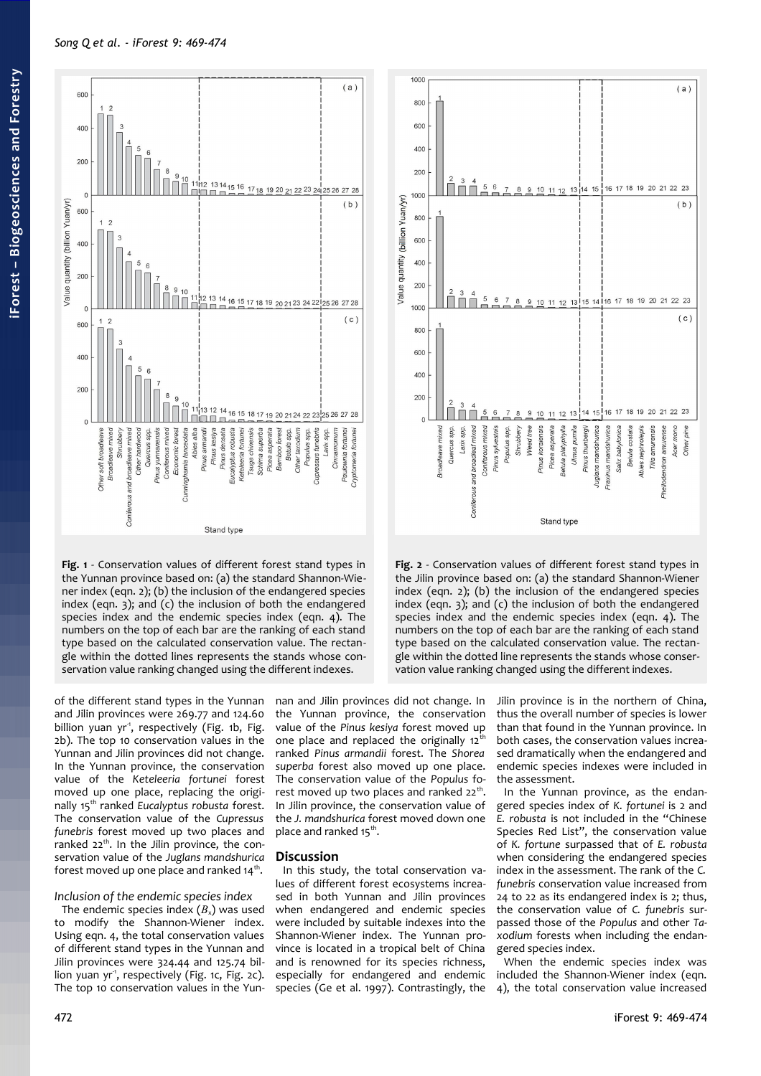

<span id="page-3-1"></span>**Fig. 1** - Conservation values of different forest stand types in the Yunnan province based on: (a) the standard Shannon-Wiener index (eqn. 2); (b) the inclusion of the endangered species index (eqn. 3); and (c) the inclusion of both the endangered species index and the endemic species index (eqn. 4). The numbers on the top of each bar are the ranking of each stand type based on the calculated conservation value. The rectangle within the dotted lines represents the stands whose conservation value ranking changed using the different indexes.

of the different stand types in the Yunnan and Jilin provinces were 269.77 and 124.60 billion yuan yr<sup>1</sup>, respectively [\(Fig. 1b](#page-3-1), [Fig.](#page-3-0) [2b](#page-3-0)). The top 10 conservation values in the Yunnan and Jilin provinces did not change. In the Yunnan province, the conservation value of the *Keteleeria fortunei* forest moved up one place, replacing the originally 15th ranked *Eucalyptus robusta* forest. The conservation value of the *Cupressus funebris* forest moved up two places and ranked  $22<sup>th</sup>$ . In the Jilin province, the conservation value of the *Juglans mandshurica* forest moved up one place and ranked 14<sup>th</sup>.

# *Inclusion of the endemic species index*

The endemic species index  $(B_x)$  was used to modify the Shannon-Wiener index. Using eqn. 4, the total conservation values of different stand types in the Yunnan and Jilin provinces were 324.44 and 125.74 bil-lion yuan yr<sup>1</sup>, respectively [\(Fig. 1c](#page-3-1), [Fig. 2c](#page-3-0)). The top 10 conservation values in the Yunnan and Jilin provinces did not change. In the Yunnan province, the conservation value of the *Pinus kesiya* forest moved up one place and replaced the originally  $12<sup>th</sup>$ ranked *Pinus armandii* forest. The *Shorea superba* forest also moved up one place. The conservation value of the *Populus* forest moved up two places and ranked 22<sup>th</sup>. In Jilin province, the conservation value of the *J. mandshurica* forest moved down one place and ranked 15<sup>th</sup>.

# **Discussion**

In this study, the total conservation values of different forest ecosystems increased in both Yunnan and Jilin provinces when endangered and endemic species were included by suitable indexes into the Shannon-Wiener index. The Yunnan province is located in a tropical belt of China and is renowned for its species richness, especially for endangered and endemic species (Ge et al. 1997). Contrastingly, the



<span id="page-3-0"></span>**Fig. 2** - Conservation values of different forest stand types in the Jilin province based on: (a) the standard Shannon-Wiener index (eqn. 2); (b) the inclusion of the endangered species index (eqn. 3); and (c) the inclusion of both the endangered species index and the endemic species index (eqn. 4). The numbers on the top of each bar are the ranking of each stand type based on the calculated conservation value. The rectangle within the dotted line represents the stands whose conservation value ranking changed using the different indexes.

Jilin province is in the northern of China, thus the overall number of species is lower than that found in the Yunnan province. In both cases, the conservation values increased dramatically when the endangered and endemic species indexes were included in the assessment.

In the Yunnan province, as the endangered species index of *K. fortunei* is 2 and *E. robusta* is not included in the "Chinese Species Red List", the conservation value of *K. fortune* surpassed that of *E. robusta* when considering the endangered species index in the assessment. The rank of the *C. funebris* conservation value increased from 24 to 22 as its endangered index is 2; thus, the conservation value of *C. funebris* surpassed those of the *Populus* and other *Taxodium* forests when including the endangered species index.

When the endemic species index was included the Shannon-Wiener index (eqn. 4), the total conservation value increased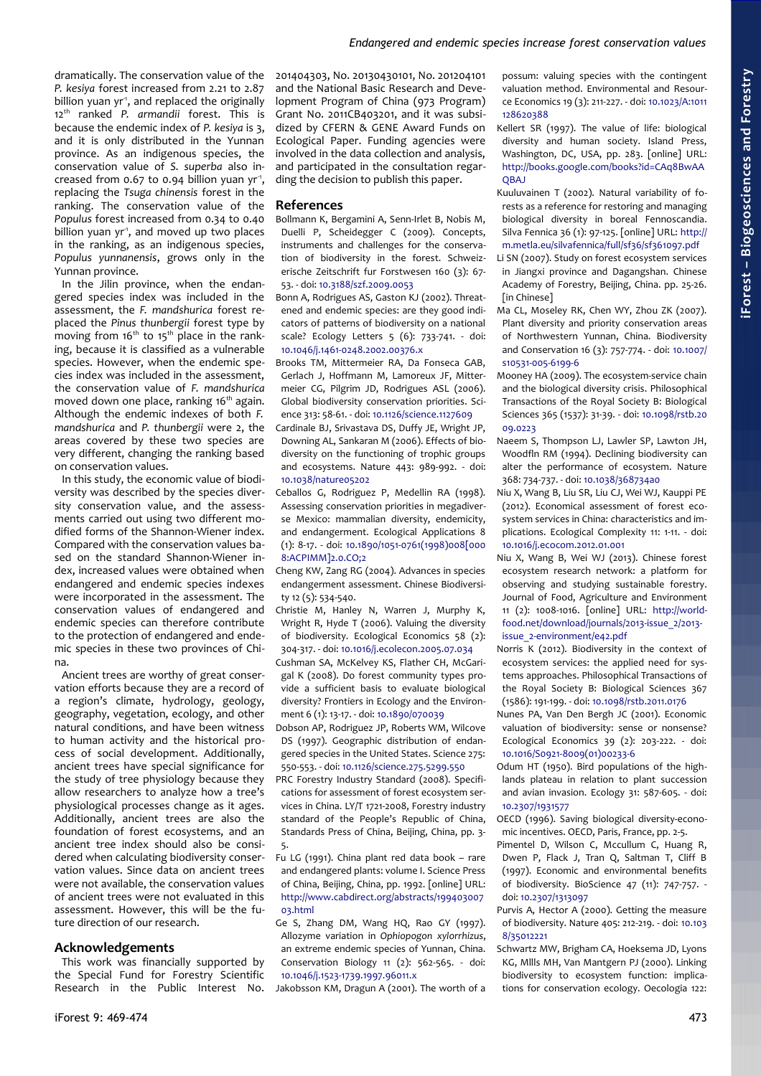dramatically. The conservation value of the *P. kesiya* forest increased from 2.21 to 2.87 billion yuan yr<sup>1</sup>, and replaced the originally 12th ranked *P. armandii* forest. This is because the endemic index of *P. kesiya* is 3, and it is only distributed in the Yunnan province. As an indigenous species, the conservation value of *S. superba* also increased from 0.67 to 0.94 billion yuan yr<sup>-1</sup>, replacing the *Tsuga chinensis* forest in the ranking. The conservation value of the *Populus* forest increased from 0.34 to 0.40 billion yuan  $yr<sup>-1</sup>$ , and moved up two places in the ranking, as an indigenous species, *Populus yunnanensis*, grows only in the Yunnan province.

In the Jilin province, when the endangered species index was included in the assessment, the *F. mandshurica* forest replaced the *Pinus thunbergii* forest type by moving from 16<sup>th</sup> to 15<sup>th</sup> place in the ranking, because it is classified as a vulnerable species. However, when the endemic species index was included in the assessment, the conservation value of *F. mandshurica* moved down one place, ranking 16<sup>th</sup> again. Although the endemic indexes of both *F. mandshurica* and *P. thunbergii* were 2, the areas covered by these two species are very different, changing the ranking based on conservation values.

In this study, the economic value of biodiversity was described by the species diversity conservation value, and the assessments carried out using two different modified forms of the Shannon-Wiener index. Compared with the conservation values based on the standard Shannon-Wiener index, increased values were obtained when endangered and endemic species indexes were incorporated in the assessment. The conservation values of endangered and endemic species can therefore contribute to the protection of endangered and endemic species in these two provinces of China.

Ancient trees are worthy of great conservation efforts because they are a record of a region's climate, hydrology, geology, geography, vegetation, ecology, and other natural conditions, and have been witness to human activity and the historical process of social development. Additionally, ancient trees have special significance for the study of tree physiology because they allow researchers to analyze how a tree's physiological processes change as it ages. Additionally, ancient trees are also the foundation of forest ecosystems, and an ancient tree index should also be considered when calculating biodiversity conservation values. Since data on ancient trees were not available, the conservation values of ancient trees were not evaluated in this assessment. However, this will be the future direction of our research.

## **Acknowledgements**

This work was financially supported by the Special Fund for Forestry Scientific Research in the Public Interest No. 201404303, No. 20130430101, No. 201204101 and the National Basic Research and Development Program of China (973 Program) Grant No. 2011CB403201, and it was subsidized by CFERN & GENE Award Funds on Ecological Paper. Funding agencies were involved in the data collection and analysis, and participated in the consultation regarding the decision to publish this paper.

#### **References**

- Bollmann K, Bergamini A, Senn-Irlet B, Nobis M, Duelli P, Scheidegger C (2009). Concepts, instruments and challenges for the conservation of biodiversity in the forest. Schweizerische Zeitschrift fur Forstwesen 160 (3): 67- 53. - doi: [10.3188/szf.2009.0053](http://dx.doi.org/10.3188/szf.2009.0053)
- Bonn A, Rodrigues AS, Gaston KJ (2002). Threatened and endemic species: are they good indicators of patterns of biodiversity on a national scale? Ecology Letters 5 (6): 733-741. - doi: [10.1046/j.1461-0248.2002.00376.x](http://dx.doi.org/10.1046/j.1461-0248.2002.00376.x)
- Brooks TM, Mittermeier RA, Da Fonseca GAB, Gerlach J, Hoffmann M, Lamoreux JF, Mittermeier CG, Pilgrim JD, Rodrigues ASL (2006). Global biodiversity conservation priorities. Science 313: 58-61. - doi: [10.1126/science.1127609](http://dx.doi.org/10.1126/science.1127609)
- Cardinale BJ, Srivastava DS, Duffy JE, Wright JP, Downing AL, Sankaran M (2006). Effects of biodiversity on the functioning of trophic groups and ecosystems. Nature 443: 989-992. - doi: [10.1038/nature05202](http://dx.doi.org/10.1038/nature05202)
- Ceballos G, Rodriguez P, Medellin RA (1998). Assessing conservation priorities in megadiverse Mexico: mammalian diversity, endemicity, and endangerment. Ecological Applications 8 (1): 8-17. - doi: [10.1890/1051-0761\(1998\)008\[000](http://dx.doi.org/10.1890/1051-0761(1998)008%5B0008:ACPIMM%5D2.0.CO;2) [8:ACPIMM\]2.0.CO;2](http://dx.doi.org/10.1890/1051-0761(1998)008%5B0008:ACPIMM%5D2.0.CO;2)
- Cheng KW, Zang RG (2004). Advances in species endangerment assessment. Chinese Biodiversity 12 (5): 534-540.
- Christie M, Hanley N, Warren J, Murphy K, Wright R, Hyde T (2006). Valuing the diversity of biodiversity. Ecological Economics 58 (2): 304-317. - doi: [10.1016/j.ecolecon.2005.07.034](http://dx.doi.org/10.1016/j.ecolecon.2005.07.034)
- Cushman SA, McKelvey KS, Flather CH, McGarigal K (2008). Do forest community types provide a sufficient basis to evaluate biological diversity? Frontiers in Ecology and the Environment 6 (1): 13-17. - doi: [10.1890/070039](http://dx.doi.org/10.1890/070039)
- Dobson AP, Rodriguez JP, Roberts WM, Wilcove DS (1997). Geographic distribution of endangered species in the United States. Science 275: 550-553. - doi: [10.1126/science.275.5299.550](http://dx.doi.org/10.1126/science.275.5299.550)
- PRC Forestry Industry Standard (2008). Specifications for assessment of forest ecosystem services in China. LY/T 1721-2008, Forestry industry standard of the People's Republic of China, Standards Press of China, Beijing, China, pp. 3- 5.
- Fu LG (1991). China plant red data book rare and endangered plants: volume I. Science Press of China, Beijing, China, pp. 1992. [online] URL: [http://www.cabdirect.org/abstracts/199403007](http://www.cabdirect.org/abstracts/19940300703.html) [03.html](http://www.cabdirect.org/abstracts/19940300703.html)
- Ge S, Zhang DM, Wang HQ, Rao GY (1997). Allozyme variation in *Ophiopogon xylorrhizus*, an extreme endemic species of Yunnan, China. Conservation Biology 11 (2): 562-565. - doi: [10.1046/j.1523-1739.1997.96011.x](http://dx.doi.org/10.1046/j.1523-1739.1997.96011.x)

Jakobsson KM, Dragun A (2001). The worth of a

possum: valuing species with the contingent valuation method. Environmental and Resource Economics 19 (3): 211-227. - doi: [10.1023/A:1011](http://dx.doi.org/10.1023/A:1011128620388) [128620388](http://dx.doi.org/10.1023/A:1011128620388)

- Kellert SR (1997). The value of life: biological diversity and human society. Island Press, Washington, DC, USA, pp. 283. [online] URL: [http://books.google.com/books?id=CAq8BwAA](http://books.google.com/books?id=CAq8BwAAQBAJ) **OBAJ**
- Kuuluvainen T (2002). Natural variability of forests as a reference for restoring and managing biological diversity in boreal Fennoscandia. Silva Fennica 36 (1): 97-125. [online] URL: [http://](http://m.metla.eu/silvafennica/full/sf36/sf361097.pdf) [m.metla.eu/silvafennica/full/sf36/sf361097.pdf](http://m.metla.eu/silvafennica/full/sf36/sf361097.pdf)
- Li SN (2007). Study on forest ecosystem services in Jiangxi province and Dagangshan. Chinese Academy of Forestry, Beijing, China. pp. 25-26. [in Chinese]
- Ma CL, Moseley RK, Chen WY, Zhou ZK (2007). Plant diversity and priority conservation areas of Northwestern Yunnan, China. Biodiversity and Conservation 16 (3): 757-774. - doi: [10.1007/](http://dx.doi.org/10.1007/s10531-005-6199-6) [s10531-005-6199-6](http://dx.doi.org/10.1007/s10531-005-6199-6)
- Mooney HA (2009). The ecosystem-service chain and the biological diversity crisis. Philosophical Transactions of the Royal Society B: Biological Sciences 365 (1537): 31-39. - doi: [10.1098/rstb.20](http://dx.doi.org/10.1098/rstb.2009.0223) [09.0223](http://dx.doi.org/10.1098/rstb.2009.0223)
- Naeem S, Thompson LJ, Lawler SP, Lawton JH, Woodfln RM (1994). Declining biodiversity can alter the performance of ecosystem. Nature 368: 734-737. - doi: [10.1038/368734a0](http://dx.doi.org/10.1038/368734a0)
- Niu X, Wang B, Liu SR, Liu CJ, Wei WJ, Kauppi PE (2012). Economical assessment of forest ecosystem services in China: characteristics and implications. Ecological Complexity 11: 1-11. - doi: [10.1016/j.ecocom.2012.01.001](http://dx.doi.org/10.1016/j.ecocom.2012.01.001)
- Niu X, Wang B, Wei WJ (2013). Chinese forest ecosystem research network: a platform for observing and studying sustainable forestry. Journal of Food, Agriculture and Environment 11 (2): 1008-1016. [online] URL: [http://world](http://world-food.net/download/journals/2013-issue_2/2013-issue_2-environment/e42.pdf)[food.net/download/journals/2013-issue\\_2/2013](http://world-food.net/download/journals/2013-issue_2/2013-issue_2-environment/e42.pdf) [issue\\_2-environment/e42.pdf](http://world-food.net/download/journals/2013-issue_2/2013-issue_2-environment/e42.pdf)
- Norris K (2012). Biodiversity in the context of ecosystem services: the applied need for systems approaches. Philosophical Transactions of the Royal Society B: Biological Sciences 367 (1586): 191-199. - doi: [10.1098/rstb.2011.0176](http://dx.doi.org/10.1098/rstb.2011.0176)
- Nunes PA, Van Den Bergh JC (2001). Economic valuation of biodiversity: sense or nonsense? Ecological Economics 39 (2): 203-222. - doi: [10.1016/S0921-8009\(01\)00233-6](http://dx.doi.org/10.1016/S0921-8009(01)00233-6)
- Odum HT (1950). Bird populations of the highlands plateau in relation to plant succession and avian invasion. Ecology 31: 587-605. - doi: [10.2307/1931577](http://dx.doi.org/10.2307/1931577)
- OECD (1996). Saving biological diversity-economic incentives. OECD, Paris, France, pp. 2-5.
- Pimentel D, Wilson C, Mccullum C, Huang R, Dwen P, Flack J, Tran Q, Saltman T, Cliff B (1997). Economic and environmental benefits of biodiversity. BioScience 47 (11): 747-757. doi: [10.2307/1313097](http://dx.doi.org/10.2307/1313097)
- Purvis A, Hector A (2000). Getting the measure of biodiversity. Nature 405: 212-219. - doi: [10.103](http://dx.doi.org/10.1038/35012221) [8/35012221](http://dx.doi.org/10.1038/35012221)
- Schwartz MW, Brigham CA, Hoeksema JD, Lyons KG, Mllls MH, Van Mantgern PJ (2000). Linking biodiversity to ecosystem function: implications for conservation ecology. Oecologia 122: